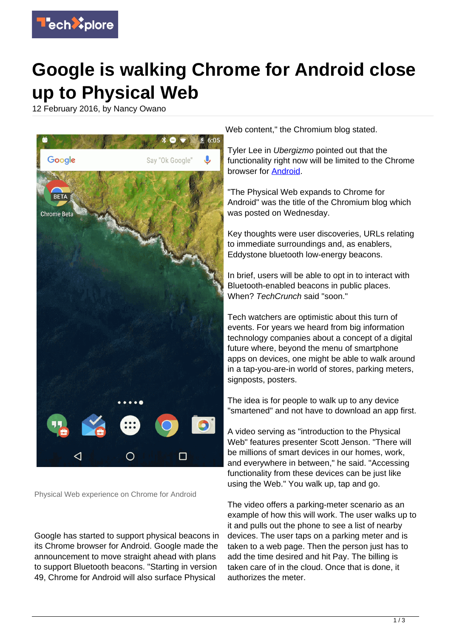

## **Google is walking Chrome for Android close up to Physical Web**

12 February 2016, by Nancy Owano



Physical Web experience on Chrome for Android

Google has started to support physical beacons in its Chrome browser for Android. Google made the announcement to move straight ahead with plans to support Bluetooth beacons. "Starting in version 49, Chrome for Android will also surface Physical

Web content," the Chromium blog stated.

Tyler Lee in Ubergizmo pointed out that the functionality right now will be limited to the Chrome browser for [Android](http://www.ubergizmo.com/2016/02/chrome-android-bluetooth-beacons/?utm_source=mainrss).

"The Physical Web expands to Chrome for Android" was the title of the Chromium blog which was posted on Wednesday.

Key thoughts were user discoveries, URLs relating to immediate surroundings and, as enablers, Eddystone bluetooth low-energy beacons.

In brief, users will be able to opt in to interact with Bluetooth-enabled beacons in public places. When? TechCrunch said "soon."

Tech watchers are optimistic about this turn of events. For years we heard from big information technology companies about a concept of a digital future where, beyond the menu of smartphone apps on devices, one might be able to walk around in a tap-you-are-in world of stores, parking meters, signposts, posters.

The idea is for people to walk up to any device "smartened" and not have to download an app first.

A video serving as "introduction to the Physical Web" features presenter Scott Jenson. "There will be millions of smart devices in our homes, work, and everywhere in between," he said. "Accessing functionality from these devices can be just like using the Web." You walk up, tap and go.

The video offers a parking-meter scenario as an example of how this will work. The user walks up to it and pulls out the phone to see a list of nearby devices. The user taps on a parking meter and is taken to a web page. Then the person just has to add the time desired and hit Pay. The billing is taken care of in the cloud. Once that is done, it authorizes the meter.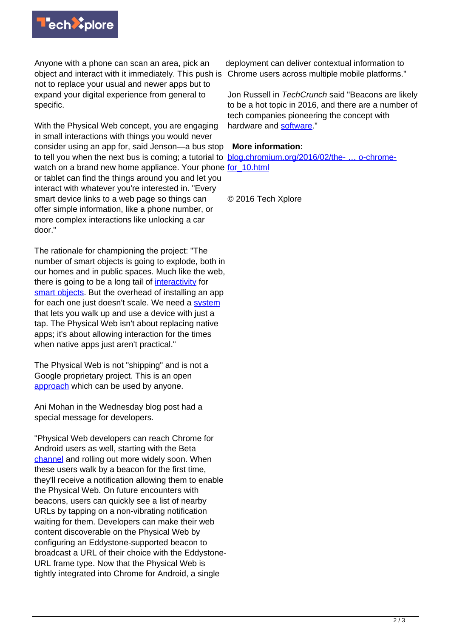

Anyone with a phone can scan an area, pick an object and interact with it immediately. This push is not to replace your usual and newer apps but to expand your digital experience from general to specific.

With the Physical Web concept, you are engaging in small interactions with things you would never consider using an app for, said Jenson—a bus stop to tell you when the next bus is coming; a tutorial to blog.chromium.org/2016/02/the- ... o-chromewatch on a brand new home appliance. Your phone for 10.html or tablet can find the things around you and let you interact with whatever you're interested in. "Every smart device links to a web page so things can offer simple information, like a phone number, or more complex interactions like unlocking a car door."

The rationale for championing the project: "The number of smart objects is going to explode, both in our homes and in public spaces. Much like the web, there is going to be a long tail of [interactivity](https://github.com/google/physical-web) for [smart objects.](https://techxplore.com/tags/smart+objects/) But the overhead of installing an app for each one just doesn't scale. We need a [system](http://github.com/google/physical-web) that lets you walk up and use a device with just a tap. The Physical Web isn't about replacing native apps; it's about allowing interaction for the times when native apps just aren't practical."

The Physical Web is not "shipping" and is not a Google proprietary project. This is an open [approach](http://google.github.io/physical-web/cookbook/) which can be used by anyone.

Ani Mohan in the Wednesday blog post had a special message for developers.

"Physical Web developers can reach Chrome for Android users as well, starting with the Beta [channel](http://blog.chromium.org/2016/02/the-physical-web-expands-to-chrome-for_10.html) and rolling out more widely soon. When these users walk by a beacon for the first time, they'll receive a notification allowing them to enable the Physical Web. On future encounters with beacons, users can quickly see a list of nearby URLs by tapping on a non-vibrating notification waiting for them. Developers can make their web content discoverable on the Physical Web by configuring an Eddystone-supported beacon to broadcast a URL of their choice with the Eddystone-URL frame type. Now that the Physical Web is tightly integrated into Chrome for Android, a single

deployment can deliver contextual information to Chrome users across multiple mobile platforms."

Jon Russell in TechCrunch said "Beacons are likely to be a hot topic in 2016, and there are a number of tech companies pioneering the concept with hardware and [software](http://techcrunch.com/2016/02/11/google-chrome-for-android-will-soon-support-interactions-with-bluetooth-beacons/?ncid=rss)."

## **More information:**

© 2016 Tech Xplore